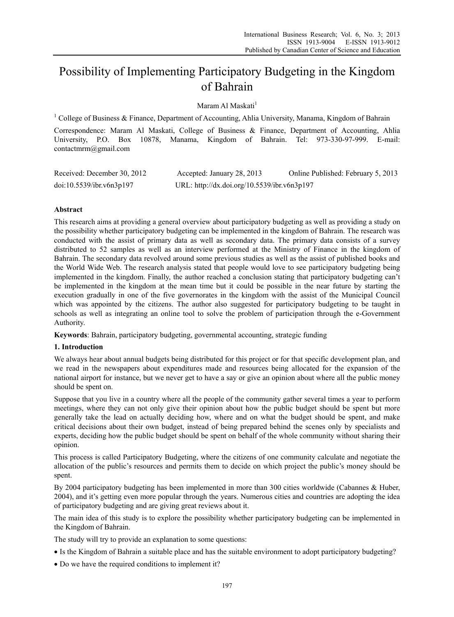# Possibility of Implementing Participatory Budgeting in the Kingdom of Bahrain

Maram Al Maskati<sup>1</sup>

<sup>1</sup> College of Business & Finance, Department of Accounting, Ahlia University, Manama, Kingdom of Bahrain

Correspondence: Maram Al Maskati, College of Business & Finance, Department of Accounting, Ahlia University, P.O. Box 10878, Manama, Kingdom of Bahrain. Tel: 973-330-97-999. E-mail: contactmrm@gmail.com

| Received: December 30, 2012 | Accepted: January 28, 2013                  | Online Published: February 5, 2013 |
|-----------------------------|---------------------------------------------|------------------------------------|
| doi:10.5539/ibr.v6n3p197    | URL: http://dx.doi.org/10.5539/ibr.v6n3p197 |                                    |

# **Abstract**

This research aims at providing a general overview about participatory budgeting as well as providing a study on the possibility whether participatory budgeting can be implemented in the kingdom of Bahrain. The research was conducted with the assist of primary data as well as secondary data. The primary data consists of a survey distributed to 52 samples as well as an interview performed at the Ministry of Finance in the kingdom of Bahrain. The secondary data revolved around some previous studies as well as the assist of published books and the World Wide Web. The research analysis stated that people would love to see participatory budgeting being implemented in the kingdom. Finally, the author reached a conclusion stating that participatory budgeting can't be implemented in the kingdom at the mean time but it could be possible in the near future by starting the execution gradually in one of the five governorates in the kingdom with the assist of the Municipal Council which was appointed by the citizens. The author also suggested for participatory budgeting to be taught in schools as well as integrating an online tool to solve the problem of participation through the e-Government Authority.

**Keywords**: Bahrain, participatory budgeting, governmental accounting, strategic funding

# **1. Introduction**

We always hear about annual budgets being distributed for this project or for that specific development plan, and we read in the newspapers about expenditures made and resources being allocated for the expansion of the national airport for instance, but we never get to have a say or give an opinion about where all the public money should be spent on.

Suppose that you live in a country where all the people of the community gather several times a year to perform meetings, where they can not only give their opinion about how the public budget should be spent but more generally take the lead on actually deciding how, where and on what the budget should be spent, and make critical decisions about their own budget, instead of being prepared behind the scenes only by specialists and experts, deciding how the public budget should be spent on behalf of the whole community without sharing their opinion.

This process is called Participatory Budgeting, where the citizens of one community calculate and negotiate the allocation of the public's resources and permits them to decide on which project the public's money should be spent.

By 2004 participatory budgeting has been implemented in more than 300 cities worldwide (Cabannes & Huber, 2004), and it's getting even more popular through the years. Numerous cities and countries are adopting the idea of participatory budgeting and are giving great reviews about it.

The main idea of this study is to explore the possibility whether participatory budgeting can be implemented in the Kingdom of Bahrain.

The study will try to provide an explanation to some questions:

- Is the Kingdom of Bahrain a suitable place and has the suitable environment to adopt participatory budgeting?
- Do we have the required conditions to implement it?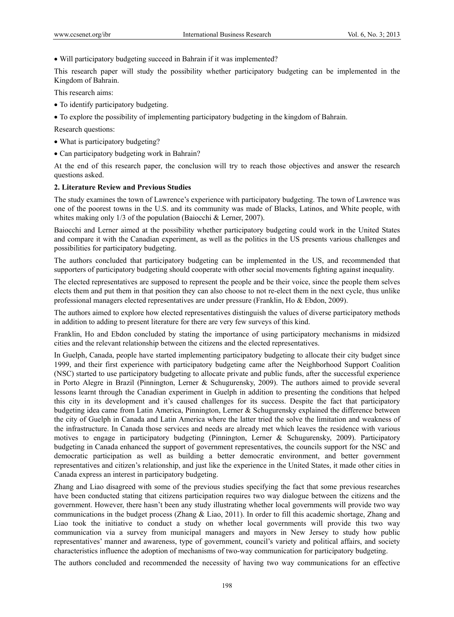Will participatory budgeting succeed in Bahrain if it was implemented?

This research paper will study the possibility whether participatory budgeting can be implemented in the Kingdom of Bahrain.

This research aims:

- To identify participatory budgeting.
- To explore the possibility of implementing participatory budgeting in the kingdom of Bahrain.

Research questions:

- What is participatory budgeting?
- Can participatory budgeting work in Bahrain?

At the end of this research paper, the conclusion will try to reach those objectives and answer the research questions asked.

# **2. Literature Review and Previous Studies**

The study examines the town of Lawrence's experience with participatory budgeting. The town of Lawrence was one of the poorest towns in the U.S. and its community was made of Blacks, Latinos, and White people, with whites making only 1/3 of the population (Baiocchi & Lerner, 2007).

Baiocchi and Lerner aimed at the possibility whether participatory budgeting could work in the United States and compare it with the Canadian experiment, as well as the politics in the US presents various challenges and possibilities for participatory budgeting.

The authors concluded that participatory budgeting can be implemented in the US, and recommended that supporters of participatory budgeting should cooperate with other social movements fighting against inequality.

The elected representatives are supposed to represent the people and be their voice, since the people them selves elects them and put them in that position they can also choose to not re-elect them in the next cycle, thus unlike professional managers elected representatives are under pressure (Franklin, Ho & Ebdon, 2009).

The authors aimed to explore how elected representatives distinguish the values of diverse participatory methods in addition to adding to present literature for there are very few surveys of this kind.

Franklin, Ho and Ebdon concluded by stating the importance of using participatory mechanisms in midsized cities and the relevant relationship between the citizens and the elected representatives.

In Guelph, Canada, people have started implementing participatory budgeting to allocate their city budget since 1999, and their first experience with participatory budgeting came after the Neighborhood Support Coalition (NSC) started to use participatory budgeting to allocate private and public funds, after the successful experience in Porto Alegre in Brazil (Pinnington, Lerner & Schugurensky, 2009). The authors aimed to provide several lessons learnt through the Canadian experiment in Guelph in addition to presenting the conditions that helped this city in its development and it's caused challenges for its success. Despite the fact that participatory budgeting idea came from Latin America, Pinnington, Lerner & Schugurensky explained the difference between the city of Guelph in Canada and Latin America where the latter tried the solve the limitation and weakness of the infrastructure. In Canada those services and needs are already met which leaves the residence with various motives to engage in participatory budgeting (Pinnington, Lerner & Schugurensky, 2009). Participatory budgeting in Canada enhanced the support of government representatives, the councils support for the NSC and democratic participation as well as building a better democratic environment, and better government representatives and citizen's relationship, and just like the experience in the United States, it made other cities in Canada express an interest in participatory budgeting.

Zhang and Liao disagreed with some of the previous studies specifying the fact that some previous researches have been conducted stating that citizens participation requires two way dialogue between the citizens and the government. However, there hasn't been any study illustrating whether local governments will provide two way communications in the budget process (Zhang & Liao, 2011). In order to fill this academic shortage, Zhang and Liao took the initiative to conduct a study on whether local governments will provide this two way communication via a survey from municipal managers and mayors in New Jersey to study how public representatives' manner and awareness, type of government, council's variety and political affairs, and society characteristics influence the adoption of mechanisms of two-way communication for participatory budgeting.

The authors concluded and recommended the necessity of having two way communications for an effective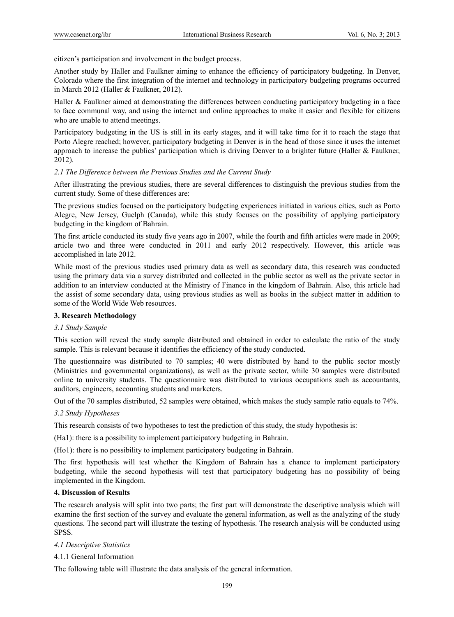citizen's participation and involvement in the budget process.

Another study by Haller and Faulkner aiming to enhance the efficiency of participatory budgeting. In Denver, Colorado where the first integration of the internet and technology in participatory budgeting programs occurred in March 2012 (Haller & Faulkner, 2012).

Haller & Faulkner aimed at demonstrating the differences between conducting participatory budgeting in a face to face communal way, and using the internet and online approaches to make it easier and flexible for citizens who are unable to attend meetings.

Participatory budgeting in the US is still in its early stages, and it will take time for it to reach the stage that Porto Alegre reached; however, participatory budgeting in Denver is in the head of those since it uses the internet approach to increase the publics' participation which is driving Denver to a brighter future (Haller & Faulkner, 2012).

# *2.1 The Difference between the Previous Studies and the Current Study*

After illustrating the previous studies, there are several differences to distinguish the previous studies from the current study. Some of these differences are:

The previous studies focused on the participatory budgeting experiences initiated in various cities, such as Porto Alegre, New Jersey, Guelph (Canada), while this study focuses on the possibility of applying participatory budgeting in the kingdom of Bahrain.

The first article conducted its study five years ago in 2007, while the fourth and fifth articles were made in 2009; article two and three were conducted in 2011 and early 2012 respectively. However, this article was accomplished in late 2012.

While most of the previous studies used primary data as well as secondary data, this research was conducted using the primary data via a survey distributed and collected in the public sector as well as the private sector in addition to an interview conducted at the Ministry of Finance in the kingdom of Bahrain. Also, this article had the assist of some secondary data, using previous studies as well as books in the subject matter in addition to some of the World Wide Web resources.

# **3. Research Methodology**

# *3.1 Study Sample*

This section will reveal the study sample distributed and obtained in order to calculate the ratio of the study sample. This is relevant because it identifies the efficiency of the study conducted.

The questionnaire was distributed to 70 samples; 40 were distributed by hand to the public sector mostly (Ministries and governmental organizations), as well as the private sector, while 30 samples were distributed online to university students. The questionnaire was distributed to various occupations such as accountants, auditors, engineers, accounting students and marketers.

Out of the 70 samples distributed, 52 samples were obtained, which makes the study sample ratio equals to 74%.

# *3.2 Study Hypotheses*

This research consists of two hypotheses to test the prediction of this study, the study hypothesis is:

(Ha1): there is a possibility to implement participatory budgeting in Bahrain.

(Ho1): there is no possibility to implement participatory budgeting in Bahrain.

The first hypothesis will test whether the Kingdom of Bahrain has a chance to implement participatory budgeting, while the second hypothesis will test that participatory budgeting has no possibility of being implemented in the Kingdom.

# **4. Discussion of Results**

The research analysis will split into two parts; the first part will demonstrate the descriptive analysis which will examine the first section of the survey and evaluate the general information, as well as the analyzing of the study questions. The second part will illustrate the testing of hypothesis. The research analysis will be conducted using SPSS.

# *4.1 Descriptive Statistics*

# 4.1.1 General Information

The following table will illustrate the data analysis of the general information.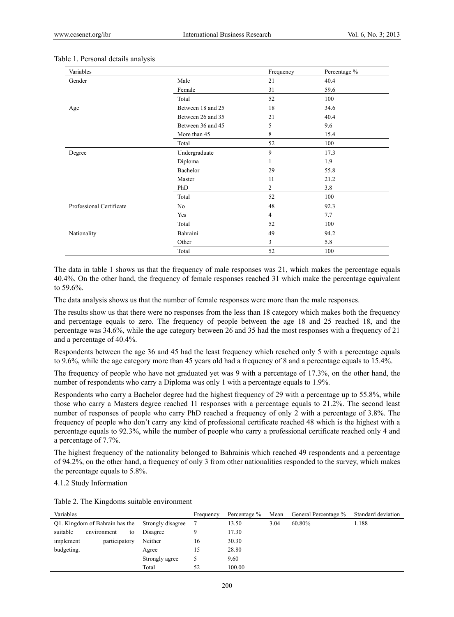| Variables                |                   | Frequency      | Percentage % |
|--------------------------|-------------------|----------------|--------------|
| Gender                   | Male              | 21             | 40.4         |
|                          | Female            | 31             | 59.6         |
|                          | Total             | 52             | 100          |
| Age                      | Between 18 and 25 | 18             | 34.6         |
|                          | Between 26 and 35 | 21             | 40.4         |
|                          | Between 36 and 45 | 5              | 9.6          |
|                          | More than 45      | 8              | 15.4         |
|                          | Total             | 52             | 100          |
| Degree                   | Undergraduate     | 9              | 17.3         |
|                          | Diploma           | 1              | 1.9          |
|                          | Bachelor          | 29             | 55.8         |
|                          | Master            | 11             | 21.2         |
|                          | PhD               | $\overline{c}$ | 3.8          |
|                          | Total             | 52             | 100          |
| Professional Certificate | No                | 48             | 92.3         |
|                          | Yes               | $\overline{4}$ | 7.7          |
|                          | Total             | 52             | 100          |
| Nationality              | Bahraini          | 49             | 94.2         |
|                          | Other             | 3              | 5.8          |
|                          | Total             | 52             | 100          |

#### Table 1. Personal details analysis

The data in table 1 shows us that the frequency of male responses was 21, which makes the percentage equals 40.4%. On the other hand, the frequency of female responses reached 31 which make the percentage equivalent to 59.6%.

The data analysis shows us that the number of female responses were more than the male responses.

The results show us that there were no responses from the less than 18 category which makes both the frequency and percentage equals to zero. The frequency of people between the age 18 and 25 reached 18, and the percentage was 34.6%, while the age category between 26 and 35 had the most responses with a frequency of 21 and a percentage of 40.4%.

Respondents between the age 36 and 45 had the least frequency which reached only 5 with a percentage equals to 9.6%, while the age category more than 45 years old had a frequency of 8 and a percentage equals to 15.4%.

The frequency of people who have not graduated yet was 9 with a percentage of 17.3%, on the other hand, the number of respondents who carry a Diploma was only 1 with a percentage equals to 1.9%.

Respondents who carry a Bachelor degree had the highest frequency of 29 with a percentage up to 55.8%, while those who carry a Masters degree reached 11 responses with a percentage equals to 21.2%. The second least number of responses of people who carry PhD reached a frequency of only 2 with a percentage of 3.8%. The frequency of people who don't carry any kind of professional certificate reached 48 which is the highest with a percentage equals to 92.3%, while the number of people who carry a professional certificate reached only 4 and a percentage of 7.7%.

The highest frequency of the nationality belonged to Bahrainis which reached 49 respondents and a percentage of 94.2%, on the other hand, a frequency of only 3 from other nationalities responded to the survey, which makes the percentage equals to 5.8%.

#### 4.1.2 Study Information

Table 2. The Kingdoms suitable environment

| Variables                      |                   | Frequency | Percentage % | Mean | General Percentage % | Standard deviation |
|--------------------------------|-------------------|-----------|--------------|------|----------------------|--------------------|
| Q1. Kingdom of Bahrain has the | Strongly disagree |           | 13.50        | 3.04 | 60.80%               | 1.188              |
| suitable<br>environment<br>to  | Disagree          |           | 17.30        |      |                      |                    |
| participatory<br>implement     | Neither           | 16        | 30.30        |      |                      |                    |
| budgeting.                     | Agree             | 15        | 28.80        |      |                      |                    |
|                                | Strongly agree    |           | 9.60         |      |                      |                    |
|                                | Total             | 52        | 100.00       |      |                      |                    |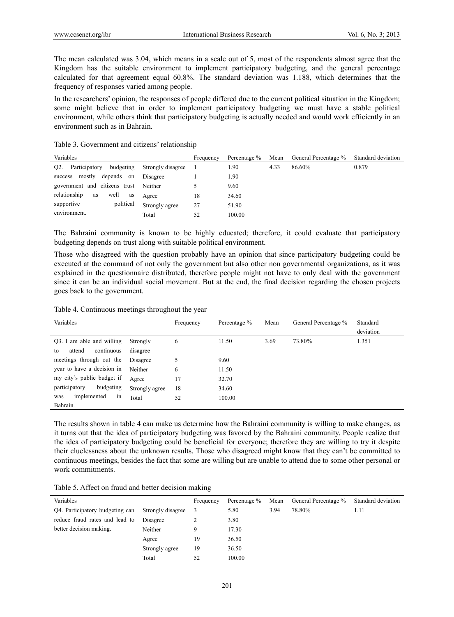The mean calculated was 3.04, which means in a scale out of 5, most of the respondents almost agree that the Kingdom has the suitable environment to implement participatory budgeting, and the general percentage calculated for that agreement equal 60.8%. The standard deviation was 1.188, which determines that the frequency of responses varied among people.

In the researchers' opinion, the responses of people differed due to the current political situation in the Kingdom; some might believe that in order to implement participatory budgeting we must have a stable political environment, while others think that participatory budgeting is actually needed and would work efficiently in an environment such as in Bahrain.

| Variables                          |                   | Frequency | Percentage % | Mean | General Percentage % | Standard deviation |
|------------------------------------|-------------------|-----------|--------------|------|----------------------|--------------------|
| O2.<br>budgeting<br>Participatory  | Strongly disagree |           | 1.90         | 4.33 | 86.60%               | 0.879              |
| depends<br>mostly<br>on<br>success | Disagree          |           | 1.90         |      |                      |                    |
| government and citizens trust      | Neither           |           | 9.60         |      |                      |                    |
| relationship<br>well<br>as<br>as   | Agree             | 18        | 34.60        |      |                      |                    |
| political<br>supportive            | Strongly agree    | 27        | 51.90        |      |                      |                    |
| environment.                       | Total             | 52        | 100.00       |      |                      |                    |

Table 3. Government and citizens' relationship

The Bahraini community is known to be highly educated; therefore, it could evaluate that participatory budgeting depends on trust along with suitable political environment.

Those who disagreed with the question probably have an opinion that since participatory budgeting could be executed at the command of not only the government but also other non governmental organizations, as it was explained in the questionnaire distributed, therefore people might not have to only deal with the government since it can be an individual social movement. But at the end, the final decision regarding the chosen projects goes back to the government.

| Table 4. Continuous meetings throughout the year |  |  |
|--------------------------------------------------|--|--|
|                                                  |  |  |

| Variables                              |                | Frequency | Percentage % | Mean | General Percentage % | Standard  |
|----------------------------------------|----------------|-----------|--------------|------|----------------------|-----------|
|                                        |                |           |              |      |                      | deviation |
| O <sub>3</sub> . I am able and willing | Strongly       | 6         | 11.50        | 3.69 | 73.80%               | 1.351     |
| continuous<br>attend<br>to             | disagree       |           |              |      |                      |           |
| meetings through out the               | Disagree       | 5         | 9.60         |      |                      |           |
| year to have a decision in             | Neither        | 6         | 11.50        |      |                      |           |
| my city's public budget if             | Agree          | 17        | 32.70        |      |                      |           |
| budgeting<br>participatory             | Strongly agree | 18        | 34.60        |      |                      |           |
| implemented<br>in<br>was               | Total          | 52        | 100.00       |      |                      |           |
| Bahrain.                               |                |           |              |      |                      |           |

The results shown in table 4 can make us determine how the Bahraini community is willing to make changes, as it turns out that the idea of participatory budgeting was favored by the Bahraini community. People realize that the idea of participatory budgeting could be beneficial for everyone; therefore they are willing to try it despite their cluelessness about the unknown results. Those who disagreed might know that they can't be committed to continuous meetings, besides the fact that some are willing but are unable to attend due to some other personal or work commitments.

| Table 5. Affect on fraud and better decision making |  |  |
|-----------------------------------------------------|--|--|
|-----------------------------------------------------|--|--|

| Variables                       |                   | Frequency | Percentage % | Mean | General Percentage % | Standard deviation |
|---------------------------------|-------------------|-----------|--------------|------|----------------------|--------------------|
| Q4. Participatory budgeting can | Strongly disagree | 3         | 5.80         | 3.94 | 78.80%               | 1.11               |
| reduce fraud rates and lead to  | Disagree          |           | 3.80         |      |                      |                    |
| better decision making.         | Neither           |           | 17.30        |      |                      |                    |
|                                 | Agree             | 19        | 36.50        |      |                      |                    |
|                                 | Strongly agree    | 19        | 36.50        |      |                      |                    |
|                                 | Total             | 52        | 100.00       |      |                      |                    |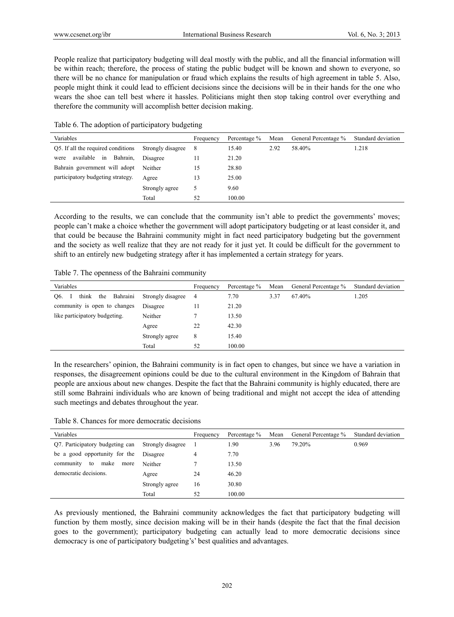People realize that participatory budgeting will deal mostly with the public, and all the financial information will be within reach; therefore, the process of stating the public budget will be known and shown to everyone, so there will be no chance for manipulation or fraud which explains the results of high agreement in table 5. Also, people might think it could lead to efficient decisions since the decisions will be in their hands for the one who wears the shoe can tell best where it hassles. Politicians might then stop taking control over everything and therefore the community will accomplish better decision making.

| Variables                           |                   | Frequency | Percentage % | Mean | General Percentage % | Standard deviation |
|-------------------------------------|-------------------|-----------|--------------|------|----------------------|--------------------|
| Q5. If all the required conditions  | Strongly disagree | - 8       | 15.40        | 2.92 | 58.40%               | 1.218              |
| Bahrain,<br>available<br>in<br>were | Disagree          |           | 21.20        |      |                      |                    |
| Bahrain government will adopt       | Neither           | 15        | 28.80        |      |                      |                    |
| participatory budgeting strategy.   | Agree             | 13        | 25.00        |      |                      |                    |
|                                     | Strongly agree    |           | 9.60         |      |                      |                    |
|                                     | Total             | 52        | 100.00       |      |                      |                    |

Table 6. The adoption of participatory budgeting

According to the results, we can conclude that the community isn't able to predict the governments' moves; people can't make a choice whether the government will adopt participatory budgeting or at least consider it, and that could be because the Bahraini community might in fact need participatory budgeting but the government and the society as well realize that they are not ready for it just yet. It could be difficult for the government to shift to an entirely new budgeting strategy after it has implemented a certain strategy for years.

Table 7. The openness of the Bahraini community

| Variables                       |                   | Frequency | Percentage % | Mean | General Percentage % | Standard deviation |
|---------------------------------|-------------------|-----------|--------------|------|----------------------|--------------------|
| Bahraini<br>think<br>the<br>O6. | Strongly disagree | -4        | 7.70         | 3.37 | 67.40%               | 1.205              |
| community is open to changes    | Disagree          |           | 21.20        |      |                      |                    |
| like participatory budgeting.   | Neither           |           | 13.50        |      |                      |                    |
|                                 | Agree             | 22        | 42.30        |      |                      |                    |
|                                 | Strongly agree    | 8         | 15.40        |      |                      |                    |
|                                 | Total             | 52        | 100.00       |      |                      |                    |

In the researchers' opinion, the Bahraini community is in fact open to changes, but since we have a variation in responses, the disagreement opinions could be due to the cultural environment in the Kingdom of Bahrain that people are anxious about new changes. Despite the fact that the Bahraini community is highly educated, there are still some Bahraini individuals who are known of being traditional and might not accept the idea of attending such meetings and debates throughout the year.

Table 8. Chances for more democratic decisions

| Variables                       |                   | Frequency | Percentage % | Mean | General Percentage % | Standard deviation |
|---------------------------------|-------------------|-----------|--------------|------|----------------------|--------------------|
| Q7. Participatory budgeting can | Strongly disagree |           | 1.90         | 3.96 | 79.20%               | 0.969              |
| be a good opportunity for the   | Disagree          |           | 7.70         |      |                      |                    |
| community<br>make<br>to<br>more | Neither           |           | 13.50        |      |                      |                    |
| democratic decisions.           | Agree             | 24        | 46.20        |      |                      |                    |
|                                 | Strongly agree    | 16        | 30.80        |      |                      |                    |
|                                 | Total             | 52        | 100.00       |      |                      |                    |

As previously mentioned, the Bahraini community acknowledges the fact that participatory budgeting will function by them mostly, since decision making will be in their hands (despite the fact that the final decision goes to the government); participatory budgeting can actually lead to more democratic decisions since democracy is one of participatory budgeting's' best qualities and advantages.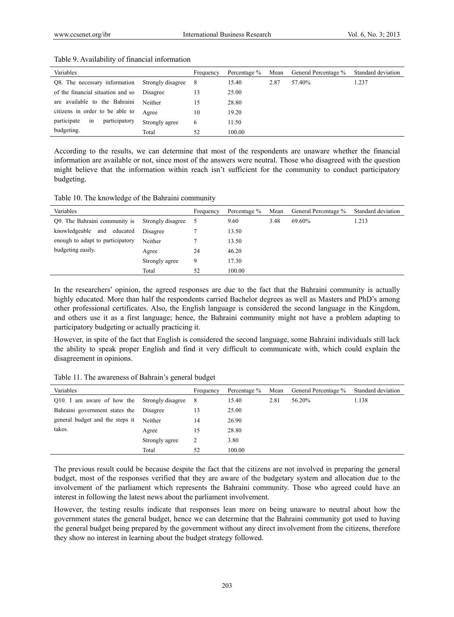| Variables                          |                   | Frequency | Percentage % | Mean | General Percentage % | Standard deviation |
|------------------------------------|-------------------|-----------|--------------|------|----------------------|--------------------|
| Q8. The necessary information      | Strongly disagree | -8        | 15.40        | 2.87 | 57.40%               | 1.237              |
| of the financial situation and so  | Disagree          | 13        | 25.00        |      |                      |                    |
| are available to the Bahraini      | Neither           | 15        | 28.80        |      |                      |                    |
| citizens in order to be able to    | Agree             | 10        | 19.20        |      |                      |                    |
| participatory<br>participate<br>1n | Strongly agree    | 6         | 11.50        |      |                      |                    |
| budgeting.                         | Total             | 52        | 100.00       |      |                      |                    |

Table 9. Availability of financial information

According to the results, we can determine that most of the respondents are unaware whether the financial information are available or not, since most of the answers were neutral. Those who disagreed with the question might believe that the information within reach isn't sufficient for the community to conduct participatory budgeting.

Table 10. The knowledge of the Bahraini community

| Variables                        |                   | Frequency | Percentage % | Mean | General Percentage % | Standard deviation |
|----------------------------------|-------------------|-----------|--------------|------|----------------------|--------------------|
| 09. The Bahraini community is    | Strongly disagree |           | 9.60         | 3.48 | 69.60%               | 1.213              |
| knowledgeable<br>educated<br>and | Disagree          |           | 13.50        |      |                      |                    |
| enough to adapt to participatory | Neither           |           | 13.50        |      |                      |                    |
| budgeting easily.                | Agree             | 24        | 46.20        |      |                      |                    |
|                                  | Strongly agree    | 9         | 17.30        |      |                      |                    |
|                                  | Total             | 52        | 100.00       |      |                      |                    |

In the researchers' opinion, the agreed responses are due to the fact that the Bahraini community is actually highly educated. More than half the respondents carried Bachelor degrees as well as Masters and PhD's among other professional certificates. Also, the English language is considered the second language in the Kingdom, and others use it as a first language; hence, the Bahraini community might not have a problem adapting to participatory budgeting or actually practicing it.

However, in spite of the fact that English is considered the second language, some Bahraini individuals still lack the ability to speak proper English and find it very difficult to communicate with, which could explain the disagreement in opinions.

Table 11. The awareness of Bahrain's general budget

| Variables                       |                   | Frequency | Percentage % | Mean | General Percentage % | Standard deviation |
|---------------------------------|-------------------|-----------|--------------|------|----------------------|--------------------|
| Q10. I am aware of how the      | Strongly disagree | - 8       | 15.40        | 2.81 | 56.20%               | 1.138              |
| Bahraini government states the  | Disagree          | 13        | 25.00        |      |                      |                    |
| general budget and the steps it | Neither           | 14        | 26.90        |      |                      |                    |
| takes.                          | Agree             | 15        | 28.80        |      |                      |                    |
|                                 | Strongly agree    | 2         | 3.80         |      |                      |                    |
|                                 | Total             | 52        | 100.00       |      |                      |                    |

The previous result could be because despite the fact that the citizens are not involved in preparing the general budget, most of the responses verified that they are aware of the budgetary system and allocation due to the involvement of the parliament which represents the Bahraini community. Those who agreed could have an interest in following the latest news about the parliament involvement.

However, the testing results indicate that responses lean more on being unaware to neutral about how the government states the general budget, hence we can determine that the Bahraini community got used to having the general budget being prepared by the government without any direct involvement from the citizens, therefore they show no interest in learning about the budget strategy followed.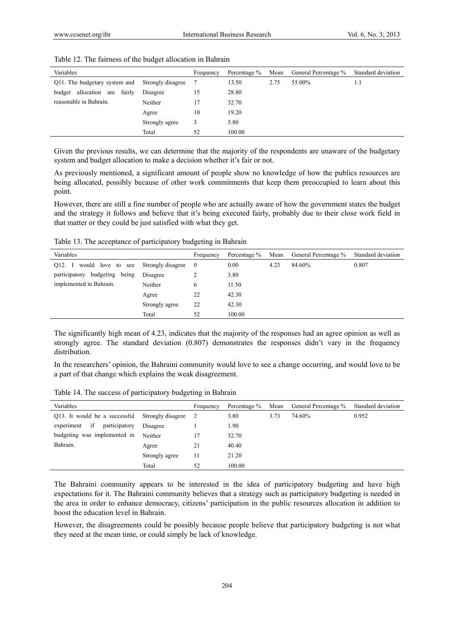| Variables                             |                   | Frequency | Percentage % | Mean | General Percentage % | Standard deviation |
|---------------------------------------|-------------------|-----------|--------------|------|----------------------|--------------------|
| Q11. The budgetary system and         | Strongly disagree |           | 13.50        | 2.75 | 55.00%               | 1.1                |
| fairly<br>allocation<br>budget<br>are | Disagree          | 15        | 28.80        |      |                      |                    |
| reasonable in Bahrain.                | Neither           | 17        | 32.70        |      |                      |                    |
|                                       | Agree             | 10        | 19.20        |      |                      |                    |
|                                       | Strongly agree    | 3         | 5.80         |      |                      |                    |
|                                       | Total             | 52        | 100.00       |      |                      |                    |

Table 12. The fairness of the budget allocation in Bahrain

Given the previous results, we can determine that the majority of the respondents are unaware of the budgetary system and budget allocation to make a decision whether it's fair or not.

As previously mentioned, a significant amount of people show no knowledge of how the publics resources are being allocated, possibly because of other work commitments that keep them preoccupied to learn about this point.

However, there are still a fine number of people who are actually aware of how the government states the budget and the strategy it follows and believe that it's being executed fairly, probably due to their close work field in that matter or they could be just satisfied with what they get.

Table 13. The acceptance of participatory budgeting in Bahrain

| Variables                           |                   | Frequency | Percentage % | Mean | General Percentage % | Standard deviation |
|-------------------------------------|-------------------|-----------|--------------|------|----------------------|--------------------|
| O12. I<br>would love to see         | Strongly disagree | - 0       | 0.00         | 4.23 | 84.60%               | 0.807              |
| being<br>budgeting<br>participatory | Disagree          |           | 3.80         |      |                      |                    |
| implemented in Bahrain.             | Neither           | 6         | 11.50        |      |                      |                    |
|                                     | Agree             | 22        | 42.30        |      |                      |                    |
|                                     | Strongly agree    | 22        | 42.30        |      |                      |                    |
|                                     | Total             | 52        | 100.00       |      |                      |                    |

The significantly high mean of 4.23, indicates that the majority of the responses had an agree opinion as well as strongly agree. The standard deviation (0.807) demonstrates the responses didn't vary in the frequency distribution.

In the researchers' opinion, the Bahraini community would love to see a change occurring, and would love to be a part of that change which explains the weak disagreement.

Table 14. The success of participatory budgeting in Bahrain

| Variables                         |                   | Frequency | Percentage % | Mean | General Percentage % | Standard deviation |
|-----------------------------------|-------------------|-----------|--------------|------|----------------------|--------------------|
| Q13. It would be a successful     | Strongly disagree |           | 3.80         | 3.73 | 74.60%               | 0.952              |
| if<br>participatory<br>experiment | Disagree          |           | 1.90         |      |                      |                    |
| budgeting was implemented in      | Neither           | 17        | 32.70        |      |                      |                    |
| Bahrain.                          | Agree             | 21        | 40.40        |      |                      |                    |
|                                   | Strongly agree    | 11        | 21.20        |      |                      |                    |
|                                   | Total             | 52        | 100.00       |      |                      |                    |

The Bahraini community appears to be interested in the idea of participatory budgeting and have high expectations for it. The Bahraini community believes that a strategy such as participatory budgeting is needed in the area in order to enhance democracy, citizens' participation in the public resources allocation in addition to boost the education level in Bahrain.

However, the disagreements could be possibly because people believe that participatory budgeting is not what they need at the mean time, or could simply be lack of knowledge.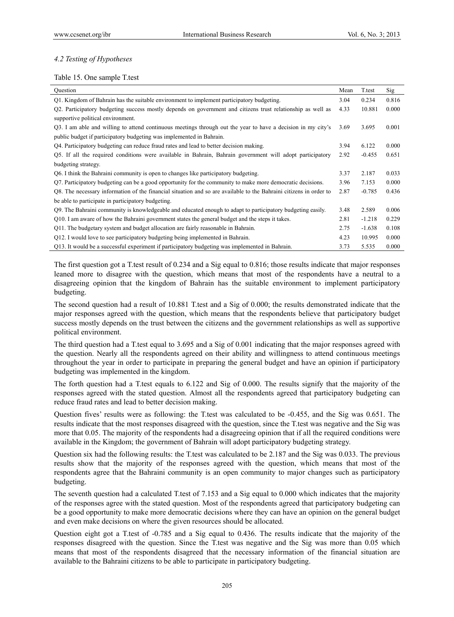# *4.2 Testing of Hypotheses*

#### Table 15. One sample T.test

| Ouestion                                                                                                           | Mean | T.test   | Sig   |
|--------------------------------------------------------------------------------------------------------------------|------|----------|-------|
| Q1. Kingdom of Bahrain has the suitable environment to implement participatory budgeting.                          | 3.04 | 0.234    | 0.816 |
| Q2. Participatory budgeting success mostly depends on government and citizens trust relationship as well as        | 4.33 | 10.881   | 0.000 |
| supportive political environment.                                                                                  |      |          |       |
| Q3. I am able and willing to attend continuous meetings through out the year to have a decision in my city's       | 3.69 | 3.695    | 0.001 |
| public budget if participatory budgeting was implemented in Bahrain.                                               |      |          |       |
| Q4. Participatory budgeting can reduce fraud rates and lead to better decision making.                             | 3.94 | 6.122    | 0.000 |
| Q5. If all the required conditions were available in Bahrain, Bahrain government will adopt participatory          | 2.92 | $-0.455$ | 0.651 |
| budgeting strategy.                                                                                                |      |          |       |
| Q6. I think the Bahraini community is open to changes like participatory budgeting.                                | 3.37 | 2.187    | 0.033 |
| Q7. Participatory budgeting can be a good opportunity for the community to make more democratic decisions.         | 3.96 | 7.153    | 0.000 |
| Q8. The necessary information of the financial situation and so are available to the Bahraini citizens in order to | 2.87 | $-0.785$ | 0.436 |
| be able to participate in participatory budgeting.                                                                 |      |          |       |
| Q9. The Bahraini community is knowledgeable and educated enough to adapt to participatory budgeting easily.        | 3.48 | 2.589    | 0.006 |
| Q10. I am aware of how the Bahraini government states the general budget and the steps it takes.                   | 2.81 | $-1.218$ | 0.229 |
| Q11. The budgetary system and budget allocation are fairly reasonable in Bahrain.                                  | 2.75 | $-1.638$ | 0.108 |
| Q12. I would love to see participatory budgeting being implemented in Bahrain.                                     | 4.23 | 10.995   | 0.000 |
| Q13. It would be a successful experiment if participatory budgeting was implemented in Bahrain.                    | 3.73 | 5.535    | 0.000 |

The first question got a T.test result of 0.234 and a Sig equal to 0.816; those results indicate that major responses leaned more to disagree with the question, which means that most of the respondents have a neutral to a disagreeing opinion that the kingdom of Bahrain has the suitable environment to implement participatory budgeting.

The second question had a result of 10.881 T.test and a Sig of 0.000; the results demonstrated indicate that the major responses agreed with the question, which means that the respondents believe that participatory budget success mostly depends on the trust between the citizens and the government relationships as well as supportive political environment.

The third question had a T.test equal to 3.695 and a Sig of 0.001 indicating that the major responses agreed with the question. Nearly all the respondents agreed on their ability and willingness to attend continuous meetings throughout the year in order to participate in preparing the general budget and have an opinion if participatory budgeting was implemented in the kingdom.

The forth question had a T.test equals to 6.122 and Sig of 0.000. The results signify that the majority of the responses agreed with the stated question. Almost all the respondents agreed that participatory budgeting can reduce fraud rates and lead to better decision making.

Question fives' results were as following: the T.test was calculated to be -0.455, and the Sig was 0.651. The results indicate that the most responses disagreed with the question, since the T.test was negative and the Sig was more that 0.05. The majority of the respondents had a disagreeing opinion that if all the required conditions were available in the Kingdom; the government of Bahrain will adopt participatory budgeting strategy.

Question six had the following results: the T.test was calculated to be 2.187 and the Sig was 0.033. The previous results show that the majority of the responses agreed with the question, which means that most of the respondents agree that the Bahraini community is an open community to major changes such as participatory budgeting.

The seventh question had a calculated T.test of 7.153 and a Sig equal to 0.000 which indicates that the majority of the responses agree with the stated question. Most of the respondents agreed that participatory budgeting can be a good opportunity to make more democratic decisions where they can have an opinion on the general budget and even make decisions on where the given resources should be allocated.

Question eight got a T.test of -0.785 and a Sig equal to 0.436. The results indicate that the majority of the responses disagreed with the question. Since the T.test was negative and the Sig was more than 0.05 which means that most of the respondents disagreed that the necessary information of the financial situation are available to the Bahraini citizens to be able to participate in participatory budgeting.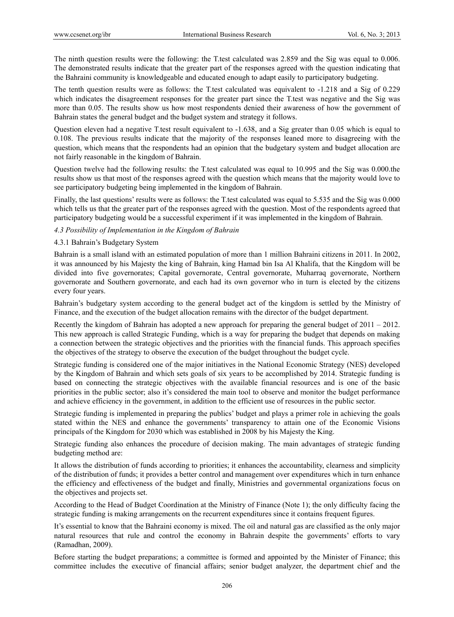The ninth question results were the following: the T.test calculated was 2.859 and the Sig was equal to 0.006. The demonstrated results indicate that the greater part of the responses agreed with the question indicating that the Bahraini community is knowledgeable and educated enough to adapt easily to participatory budgeting.

The tenth question results were as follows: the T.test calculated was equivalent to -1.218 and a Sig of 0.229 which indicates the disagreement responses for the greater part since the T.test was negative and the Sig was more than 0.05. The results show us how most respondents denied their awareness of how the government of Bahrain states the general budget and the budget system and strategy it follows.

Question eleven had a negative T.test result equivalent to -1.638, and a Sig greater than 0.05 which is equal to 0.108. The previous results indicate that the majority of the responses leaned more to disagreeing with the question, which means that the respondents had an opinion that the budgetary system and budget allocation are not fairly reasonable in the kingdom of Bahrain.

Question twelve had the following results: the T.test calculated was equal to 10.995 and the Sig was 0.000.the results show us that most of the responses agreed with the question which means that the majority would love to see participatory budgeting being implemented in the kingdom of Bahrain.

Finally, the last questions' results were as follows: the T.test calculated was equal to 5.535 and the Sig was 0.000 which tells us that the greater part of the responses agreed with the question. Most of the respondents agreed that participatory budgeting would be a successful experiment if it was implemented in the kingdom of Bahrain.

# *4.3 Possibility of Implementation in the Kingdom of Bahrain*

# 4.3.1 Bahrain's Budgetary System

Bahrain is a small island with an estimated population of more than 1 million Bahraini citizens in 2011. In 2002, it was announced by his Majesty the king of Bahrain, king Hamad bin Isa Al Khalifa, that the Kingdom will be divided into five governorates; Capital governorate, Central governorate, Muharraq governorate, Northern governorate and Southern governorate, and each had its own governor who in turn is elected by the citizens every four years.

Bahrain's budgetary system according to the general budget act of the kingdom is settled by the Ministry of Finance, and the execution of the budget allocation remains with the director of the budget department.

Recently the kingdom of Bahrain has adopted a new approach for preparing the general budget of 2011 – 2012. This new approach is called Strategic Funding, which is a way for preparing the budget that depends on making a connection between the strategic objectives and the priorities with the financial funds. This approach specifies the objectives of the strategy to observe the execution of the budget throughout the budget cycle.

Strategic funding is considered one of the major initiatives in the National Economic Strategy (NES) developed by the Kingdom of Bahrain and which sets goals of six years to be accomplished by 2014. Strategic funding is based on connecting the strategic objectives with the available financial resources and is one of the basic priorities in the public sector; also it's considered the main tool to observe and monitor the budget performance and achieve efficiency in the government, in addition to the efficient use of resources in the public sector.

Strategic funding is implemented in preparing the publics' budget and plays a primer role in achieving the goals stated within the NES and enhance the governments' transparency to attain one of the Economic Visions principals of the Kingdom for 2030 which was established in 2008 by his Majesty the King.

Strategic funding also enhances the procedure of decision making. The main advantages of strategic funding budgeting method are:

It allows the distribution of funds according to priorities; it enhances the accountability, clearness and simplicity of the distribution of funds; it provides a better control and management over expenditures which in turn enhance the efficiency and effectiveness of the budget and finally, Ministries and governmental organizations focus on the objectives and projects set.

According to the Head of Budget Coordination at the Ministry of Finance (Note 1); the only difficulty facing the strategic funding is making arrangements on the recurrent expenditures since it contains frequent figures.

It's essential to know that the Bahraini economy is mixed. The oil and natural gas are classified as the only major natural resources that rule and control the economy in Bahrain despite the governments' efforts to vary (Ramadhan, 2009).

Before starting the budget preparations; a committee is formed and appointed by the Minister of Finance; this committee includes the executive of financial affairs; senior budget analyzer, the department chief and the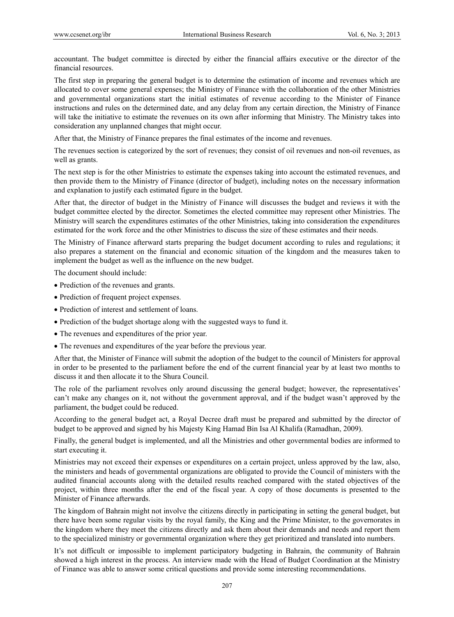accountant. The budget committee is directed by either the financial affairs executive or the director of the financial resources.

The first step in preparing the general budget is to determine the estimation of income and revenues which are allocated to cover some general expenses; the Ministry of Finance with the collaboration of the other Ministries and governmental organizations start the initial estimates of revenue according to the Minister of Finance instructions and rules on the determined date, and any delay from any certain direction, the Ministry of Finance will take the initiative to estimate the revenues on its own after informing that Ministry. The Ministry takes into consideration any unplanned changes that might occur.

After that, the Ministry of Finance prepares the final estimates of the income and revenues.

The revenues section is categorized by the sort of revenues; they consist of oil revenues and non-oil revenues, as well as grants.

The next step is for the other Ministries to estimate the expenses taking into account the estimated revenues, and then provide them to the Ministry of Finance (director of budget), including notes on the necessary information and explanation to justify each estimated figure in the budget.

After that, the director of budget in the Ministry of Finance will discusses the budget and reviews it with the budget committee elected by the director. Sometimes the elected committee may represent other Ministries. The Ministry will search the expenditures estimates of the other Ministries, taking into consideration the expenditures estimated for the work force and the other Ministries to discuss the size of these estimates and their needs.

The Ministry of Finance afterward starts preparing the budget document according to rules and regulations; it also prepares a statement on the financial and economic situation of the kingdom and the measures taken to implement the budget as well as the influence on the new budget.

The document should include:

- Prediction of the revenues and grants.
- Prediction of frequent project expenses.
- Prediction of interest and settlement of loans.
- Prediction of the budget shortage along with the suggested ways to fund it.
- The revenues and expenditures of the prior year.
- The revenues and expenditures of the year before the previous year.

After that, the Minister of Finance will submit the adoption of the budget to the council of Ministers for approval in order to be presented to the parliament before the end of the current financial year by at least two months to discuss it and then allocate it to the Shura Council.

The role of the parliament revolves only around discussing the general budget; however, the representatives' can't make any changes on it, not without the government approval, and if the budget wasn't approved by the parliament, the budget could be reduced.

According to the general budget act, a Royal Decree draft must be prepared and submitted by the director of budget to be approved and signed by his Majesty King Hamad Bin Isa Al Khalifa (Ramadhan, 2009).

Finally, the general budget is implemented, and all the Ministries and other governmental bodies are informed to start executing it.

Ministries may not exceed their expenses or expenditures on a certain project, unless approved by the law, also, the ministers and heads of governmental organizations are obligated to provide the Council of ministers with the audited financial accounts along with the detailed results reached compared with the stated objectives of the project, within three months after the end of the fiscal year. A copy of those documents is presented to the Minister of Finance afterwards.

The kingdom of Bahrain might not involve the citizens directly in participating in setting the general budget, but there have been some regular visits by the royal family, the King and the Prime Minister, to the governorates in the kingdom where they meet the citizens directly and ask them about their demands and needs and report them to the specialized ministry or governmental organization where they get prioritized and translated into numbers.

It's not difficult or impossible to implement participatory budgeting in Bahrain, the community of Bahrain showed a high interest in the process. An interview made with the Head of Budget Coordination at the Ministry of Finance was able to answer some critical questions and provide some interesting recommendations.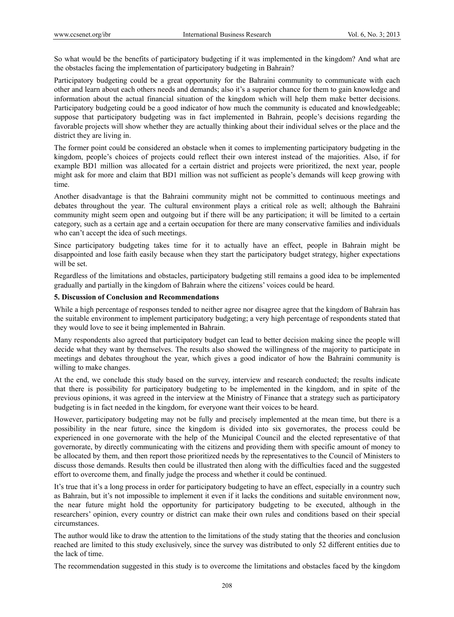So what would be the benefits of participatory budgeting if it was implemented in the kingdom? And what are the obstacles facing the implementation of participatory budgeting in Bahrain?

Participatory budgeting could be a great opportunity for the Bahraini community to communicate with each other and learn about each others needs and demands; also it's a superior chance for them to gain knowledge and information about the actual financial situation of the kingdom which will help them make better decisions. Participatory budgeting could be a good indicator of how much the community is educated and knowledgeable; suppose that participatory budgeting was in fact implemented in Bahrain, people's decisions regarding the favorable projects will show whether they are actually thinking about their individual selves or the place and the district they are living in.

The former point could be considered an obstacle when it comes to implementing participatory budgeting in the kingdom, people's choices of projects could reflect their own interest instead of the majorities. Also, if for example BD1 million was allocated for a certain district and projects were prioritized, the next year, people might ask for more and claim that BD1 million was not sufficient as people's demands will keep growing with time.

Another disadvantage is that the Bahraini community might not be committed to continuous meetings and debates throughout the year. The cultural environment plays a critical role as well; although the Bahraini community might seem open and outgoing but if there will be any participation; it will be limited to a certain category, such as a certain age and a certain occupation for there are many conservative families and individuals who can't accept the idea of such meetings.

Since participatory budgeting takes time for it to actually have an effect, people in Bahrain might be disappointed and lose faith easily because when they start the participatory budget strategy, higher expectations will be set.

Regardless of the limitations and obstacles, participatory budgeting still remains a good idea to be implemented gradually and partially in the kingdom of Bahrain where the citizens' voices could be heard.

# **5. Discussion of Conclusion and Recommendations**

While a high percentage of responses tended to neither agree nor disagree agree that the kingdom of Bahrain has the suitable environment to implement participatory budgeting; a very high percentage of respondents stated that they would love to see it being implemented in Bahrain.

Many respondents also agreed that participatory budget can lead to better decision making since the people will decide what they want by themselves. The results also showed the willingness of the majority to participate in meetings and debates throughout the year, which gives a good indicator of how the Bahraini community is willing to make changes.

At the end, we conclude this study based on the survey, interview and research conducted; the results indicate that there is possibility for participatory budgeting to be implemented in the kingdom, and in spite of the previous opinions, it was agreed in the interview at the Ministry of Finance that a strategy such as participatory budgeting is in fact needed in the kingdom, for everyone want their voices to be heard.

However, participatory budgeting may not be fully and precisely implemented at the mean time, but there is a possibility in the near future, since the kingdom is divided into six governorates, the process could be experienced in one governorate with the help of the Municipal Council and the elected representative of that governorate, by directly communicating with the citizens and providing them with specific amount of money to be allocated by them, and then report those prioritized needs by the representatives to the Council of Ministers to discuss those demands. Results then could be illustrated then along with the difficulties faced and the suggested effort to overcome them, and finally judge the process and whether it could be continued.

It's true that it's a long process in order for participatory budgeting to have an effect, especially in a country such as Bahrain, but it's not impossible to implement it even if it lacks the conditions and suitable environment now, the near future might hold the opportunity for participatory budgeting to be executed, although in the researchers' opinion, every country or district can make their own rules and conditions based on their special circumstances.

The author would like to draw the attention to the limitations of the study stating that the theories and conclusion reached are limited to this study exclusively, since the survey was distributed to only 52 different entities due to the lack of time.

The recommendation suggested in this study is to overcome the limitations and obstacles faced by the kingdom